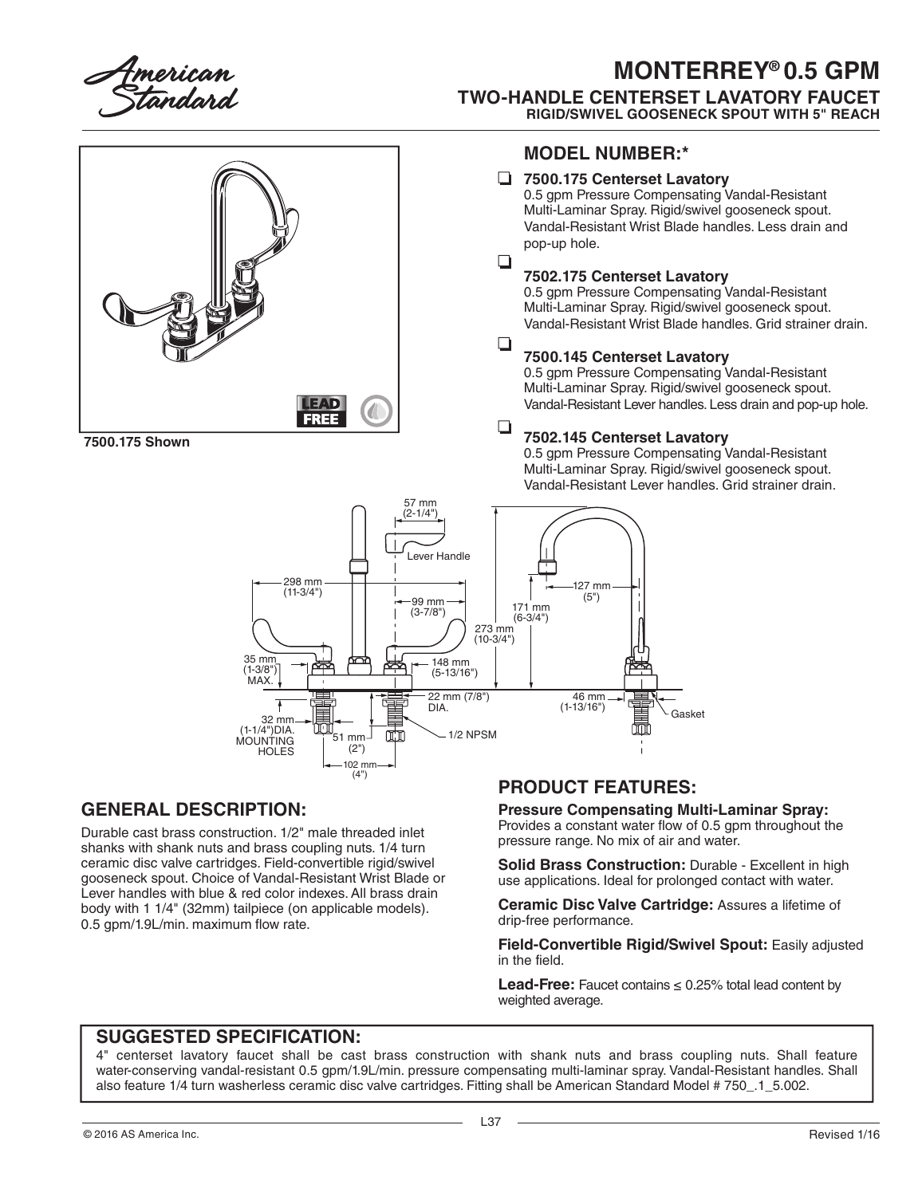

## **MONTERREY® 0.5 GPM TWO-HANDLE CENTERSET LAVATORY FAUCET RIGID/SWIVEL GOOSENECK SPOUT WITH 5" REACH**



**7500.175 Shown**

### **MODEL NUMBER:\***

#### **7500.175 Centerset Lavatory**

0.5 gpm Pressure Compensating Vandal-Resistant Multi-Laminar Spray. Rigid/swivel gooseneck spout. Vandal-Resistant Wrist Blade handles. Less drain and pop-up hole.

#### $\Box$ **7502.175 Centerset Lavatory**

0.5 gpm Pressure Compensating Vandal-Resistant Multi-Laminar Spray. Rigid/swivel gooseneck spout. Vandal-Resistant Wrist Blade handles. Grid strainer drain.

#### $\Box$ **7500.145 Centerset Lavatory**

0.5 gpm Pressure Compensating Vandal-Resistant Multi-Laminar Spray. Rigid/swivel gooseneck spout. Vandal-Resistant Lever handles. Less drain and pop-up hole.

#### ❏ **7502.145 Centerset Lavatory**

0.5 gpm Pressure Compensating Vandal-Resistant Multi-Laminar Spray. Rigid/swivel gooseneck spout. Vandal-Resistant Lever handles. Grid strainer drain.



## **GENERAL DESCRIPTION:**

Durable cast brass construction. 1/2" male threaded inlet shanks with shank nuts and brass coupling nuts. 1/4 turn ceramic disc valve cartridges. Field-convertible rigid/swivel gooseneck spout. Choice of Vandal-Resistant Wrist Blade or Lever handles with blue & red color indexes. All brass drain body with 1 1/4" (32mm) tailpiece (on applicable models). 0.5 gpm/1.9L/min. maximum flow rate.

## **PRODUCT FEATURES:**

**Pressure Compensating Multi-Laminar Spray:**

Provides a constant water flow of 0.5 gpm throughout the pressure range. No mix of air and water.

**Solid Brass Construction:** Durable - Excellent in high use applications. Ideal for prolonged contact with water.

**Ceramic Disc Valve Cartridge:** Assures a lifetime of drip-free performance.

**Field-Convertible Rigid/Swivel Spout:** Easily adjusted in the field.

**Lead-Free:** Faucet contains  $\leq 0.25\%$  total lead content by weighted average.

## **SUGGESTED SPECIFICATION:**

4" centerset lavatory faucet shall be cast brass construction with shank nuts and brass coupling nuts. Shall feature water-conserving vandal-resistant 0.5 gpm/1.9L/min. pressure compensating multi-laminar spray. Vandal-Resistant handles. Shall also feature 1/4 turn washerless ceramic disc valve cartridges. Fitting shall be American Standard Model # 750\_.1\_5.002.